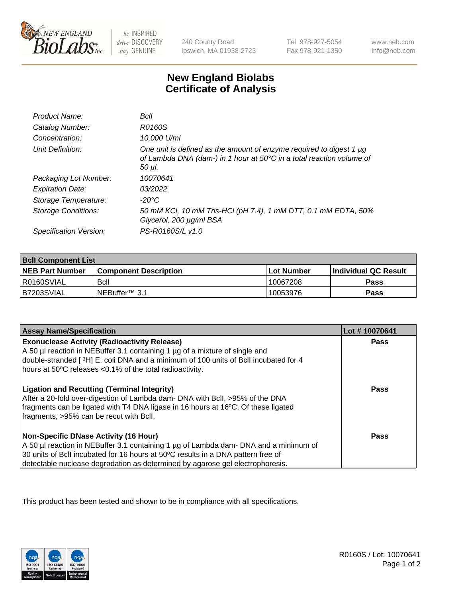

be INSPIRED drive DISCOVERY stay GENUINE

240 County Road Ipswich, MA 01938-2723

Tel 978-927-5054 Fax 978-921-1350

www.neb.com info@neb.com

## **New England Biolabs Certificate of Analysis**

| Product Name:              | Bcll                                                                                                                                                  |
|----------------------------|-------------------------------------------------------------------------------------------------------------------------------------------------------|
| Catalog Number:            | R0160S                                                                                                                                                |
| Concentration:             | 10,000 U/ml                                                                                                                                           |
| Unit Definition:           | One unit is defined as the amount of enzyme required to digest 1 µg<br>of Lambda DNA (dam-) in 1 hour at 50°C in a total reaction volume of<br>50 µl. |
| Packaging Lot Number:      | 10070641                                                                                                                                              |
| <b>Expiration Date:</b>    | 03/2022                                                                                                                                               |
| Storage Temperature:       | -20°C                                                                                                                                                 |
| <b>Storage Conditions:</b> | 50 mM KCl, 10 mM Tris-HCl (pH 7.4), 1 mM DTT, 0.1 mM EDTA, 50%<br>Glycerol, 200 µg/ml BSA                                                             |
| Specification Version:     | PS-R0160S/L v1.0                                                                                                                                      |

| <b>Bcll Component List</b> |                              |             |                       |  |
|----------------------------|------------------------------|-------------|-----------------------|--|
| <b>NEB Part Number</b>     | <b>Component Description</b> | ⊺Lot Number | ∣Individual QC Result |  |
| I R0160SVIAL               | Bcll                         | 10067208    | <b>Pass</b>           |  |
| I B7203SVIAL               | INEBuffer™ 3.1               | 10053976    | <b>Pass</b>           |  |

| <b>Assay Name/Specification</b>                                                                                                                                                                                                                                                                    | Lot #10070641 |
|----------------------------------------------------------------------------------------------------------------------------------------------------------------------------------------------------------------------------------------------------------------------------------------------------|---------------|
| <b>Exonuclease Activity (Radioactivity Release)</b><br>A 50 µl reaction in NEBuffer 3.1 containing 1 µg of a mixture of single and<br>double-stranded [3H] E. coli DNA and a minimum of 100 units of Bcll incubated for 4<br>hours at 50°C releases <0.1% of the total radioactivity.              | Pass          |
| <b>Ligation and Recutting (Terminal Integrity)</b><br>After a 20-fold over-digestion of Lambda dam- DNA with BcII, >95% of the DNA<br>fragments can be ligated with T4 DNA ligase in 16 hours at 16°C. Of these ligated<br>fragments, >95% can be recut with Bcll.                                 | Pass          |
| Non-Specific DNase Activity (16 Hour)<br>A 50 µl reaction in NEBuffer 3.1 containing 1 µg of Lambda dam- DNA and a minimum of<br>30 units of BcII incubated for 16 hours at 50°C results in a DNA pattern free of<br>detectable nuclease degradation as determined by agarose gel electrophoresis. | Pass          |

This product has been tested and shown to be in compliance with all specifications.